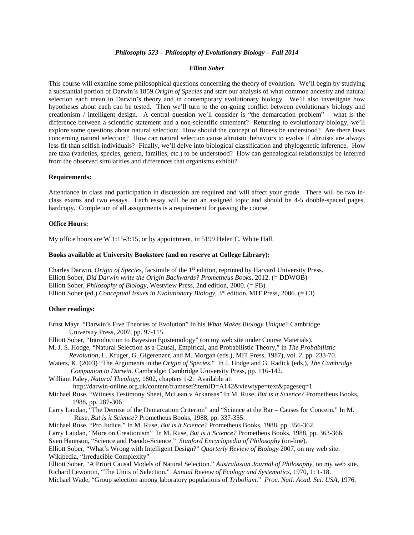## *Philosophy 523 – Philosophy of Evolutionary Biology – Fall 2014*

### *Elliott Sober*

This course will examine some philosophical questions concerning the theory of evolution. We'll begin by studying a substantial portion of Darwin's 1859 *Origin of Species* and start our analysis of what common ancestry and natural selection each mean in Darwin's theory and in contemporary evolutionary biology. We'll also investigate how hypotheses about each can be tested. Then we'll turn to the on-going conflict between evolutionary biology and creationism / intelligent design. A central question we'll consider is "the demarcation problem" – what is the difference between a scientific statement and a non-scientific statement? Returning to evolutionary biology, we'll explore some questions about natural selection: How should the concept of fitness be understood? Are there laws concerning natural selection? How can natural selection cause altruistic behaviors to evolve if altruists are always less fit than selfish individuals? Finally, we'll delve into biological classification and phylogenetic inference. How are taxa (varieties, species, genera, families, etc.) to be understood? How can genealogical relationships be inferred from the observed similarities and differences that organisms exhibit?

### **Requirements:**

Attendance in class and participation in discussion are required and will affect your grade. There will be two inclass exams and two essays. Each essay will be on an assigned topic and should be 4-5 double-spaced pages, hardcopy. Completion of all assignments is a requirement for passing the course.

## **Office Hours:**

My office hours are W 1:15-3:15, or by appointment, in 5199 Helen C. White Hall.

### **Books available at University Bookstore (and on reserve at College Library):**

Charles Darwin, *Origin of Species*, facsimile of the 1st edition, reprinted by Harvard University Press. Elliott Sober, *Did Darwin write the Origin Backwards? Prometheus Books,* 2012. (= DDWOB) Elliott Sober, *Philosophy of Biology*, Westview Press, 2nd edition, 2000. (= PB) Elliott Sober (ed.) *Conceptual Issues in Evolutionary Biology*, 3rd edition, MIT Press, 2006. (= CI)

# **Other readings:**

- Ernst Mayr, "Darwin's Five Theories of Evolution" In his *What Makes Biology Unique?* Cambridge University Press, 2007, pp. 97-115.
- Elliott Sober, "Introduction to Bayesian Epistemology" (on my web site under Course Materials).
- M. J. S. Hodge, "Natural Selection as a Causal, Empirical, and Probabilistic Theory," in *The Probabilistic Revolution*, L. Kruger, G. Gigerenzer, and M. Morgan (eds.), MIT Press, 1987), vol. 2, pp. 233-70.
- Waters, K. (2003) "The Arguments in the *Origin of Species*." In J. Hodge and G. Radick (eds.), *The Cambridge Companion to Darwin*. Cambridge: Cambridge University Press, pp. 116-142.
- William Paley, *Natural Theology*, 1802, chapters 1-2. Available at: http://darwin-online.org.uk/content/frameset?itemID=A142&viewtype=text&pageseq=1
- Michael Ruse, "Witness Testimony Sheet, McLean v Arkansas" In M. Ruse, *But is it Science?* Prometheus Books, 1988, pp. 287-306
- Larry Laudan, "The Demise of the Demarcation Criterion" and "Science at the Bar Causes for Concern." In M. Ruse, *But is it Science?* Prometheus Books, 1988, pp. 337-355.

Michael Ruse, "Pro Judice." In M. Ruse, *But is it Science?* Prometheus Books, 1988, pp. 356-362.

Larry Laudan, "More on Creationism" In M. Ruse, *But is it Science?* Prometheus Books, 1988, pp. 363-366.

Sven Hannson, "Science and Pseudo-Science." *Stanford Encyclopedia of Philosophy* (on-line).

Elliott Sober, "What's Wrong with Intelligent Design?" *Quarterly Review of Biology* 2007, on my web site. Wikipedia, "Irreducible Complexity"

Elliott Sober, "A Priori Causal Models of Natural Selection." *Australasian Journal of Philosophy*, on my web site. Richard Lewontin, "The Units of Selection." *Annual Review of Ecology and Systematics*, 1970, 1: 1-18.

Michael Wade, "Group selection among laboratory populations of *Tribolium*." *Proc. Natl. Acad. Sci. USA*, 1976,